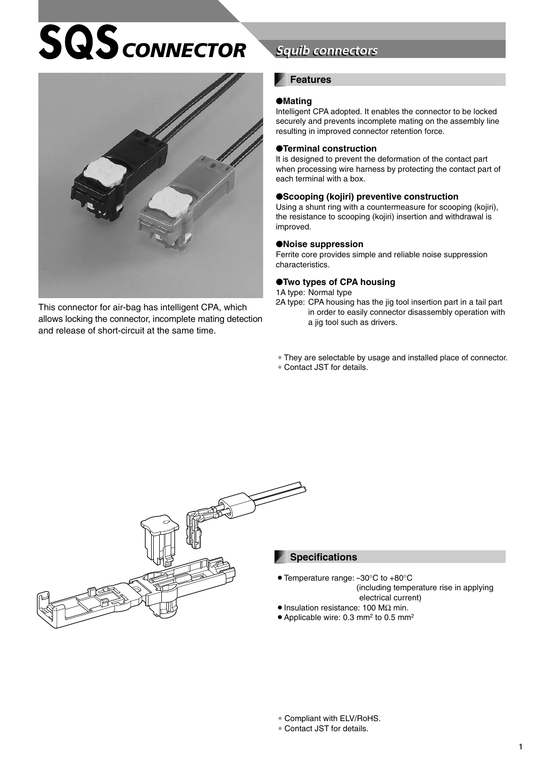# $SQS$ *CONNECTOR*



This connector for air-bag has intelligent CPA, which allows locking the connector, incomplete mating detection and release of short-circuit at the same time.

## **Squib connectors**

#### **Features**

#### ●**Mating**

Intelligent CPA adopted. It enables the connector to be locked securely and prevents incomplete mating on the assembly line resulting in improved connector retention force.

#### ●**Terminal construction**

It is designed to prevent the deformation of the contact part when processing wire harness by protecting the contact part of each terminal with a box.

#### ●**Scooping (kojiri) preventive construction**

Using a shunt ring with a countermeasure for scooping (kojiri), the resistance to scooping (kojiri) insertion and withdrawal is improved.

#### ●**Noise suppression**

Ferrite core provides simple and reliable noise suppression characteristics.

#### ●**Two types of CPA housing**

1A type: Normal type

- 2A type: CPA housing has the jig tool insertion part in a tail part in order to easily connector disassembly operation with a jig tool such as drivers.
- ∗ They are selectable by usage and installed place of connector.
- ∗ Contact JST for details.



#### **Specifications**

- Temperature range: -30°C to +80°C (including temperature rise in applying
- electrical current)
- $\bullet$  Insulation resistance: 100 M $\Omega$  min.
- $\bullet$  Applicable wire: 0.3 mm<sup>2</sup> to 0.5 mm<sup>2</sup>

∗ Compliant with ELV/RoHS.

∗ Contact JST for details.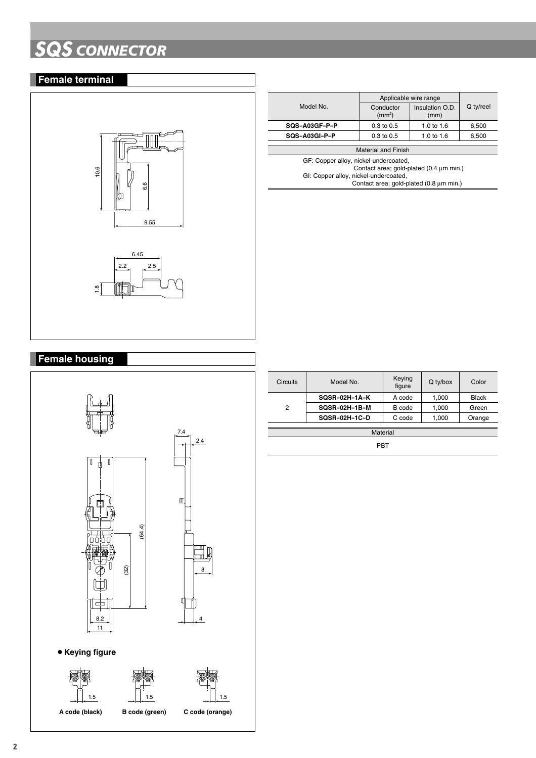# **SQS** *CONNECTOR*

## **Female terminal**



|                                         | Applicable wire range           |                         |           |  |
|-----------------------------------------|---------------------------------|-------------------------|-----------|--|
| Model No.                               | Conductor<br>(mm <sup>2</sup> ) | Insulation O.D.<br>(mm) | Q ty/reel |  |
| SQS-A03GF-P-P                           | $0.3 \text{ to } 0.5$           | 1.0 to 1.6              | 6,500     |  |
| SQS-A03GI-P-P                           | $0.3$ to $0.5$                  | 1.0 to $1.6$            | 6,500     |  |
| <b>Material and Finish</b>              |                                 |                         |           |  |
| GF: Copper alloy, nickel-undercoated,   |                                 |                         |           |  |
| Contact area; gold-plated (0.4 um min.) |                                 |                         |           |  |
| GI: Copper alloy, nickel-undercoated,   |                                 |                         |           |  |
| Contact area; gold-plated (0.8 µm min.) |                                 |                         |           |  |
|                                         |                                 |                         |           |  |

### **Female housing**



| Circuits | Model No.            | Keying<br>figure | Q ty/box | Color  |
|----------|----------------------|------------------|----------|--------|
|          | SQSR-02H-1A-K        | A code           | 1,000    | Black  |
| 2        | <b>SQSR-02H-1B-M</b> | B code           | 1,000    | Green  |
|          | SQSR-02H-1C-D        | C code           | 1,000    | Orange |
| Material |                      |                  |          |        |
| PBT      |                      |                  |          |        |